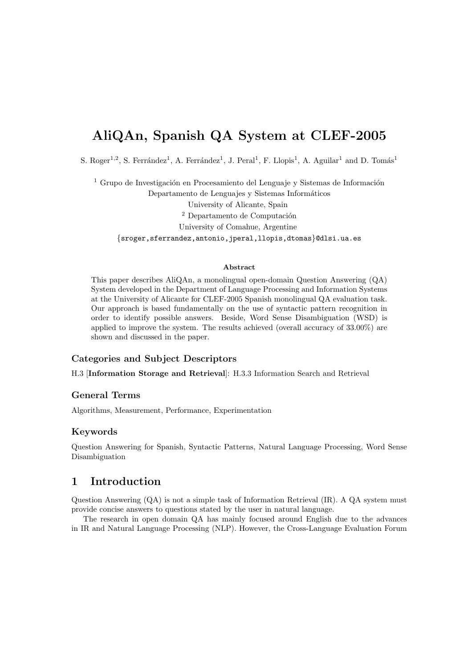# AliQAn, Spanish QA System at CLEF-2005

S. Roger<sup>1,2</sup>, S. Ferrández<sup>1</sup>, A. Ferrández<sup>1</sup>, J. Peral<sup>1</sup>, F. Llopis<sup>1</sup>, A. Aguilar<sup>1</sup> and D. Tomás<sup>1</sup>

 $1$  Grupo de Investigación en Procesamiento del Lenguaje y Sistemas de Información Departamento de Lenguajes y Sistemas Informáticos University of Alicante, Spain  $2$  Departamento de Computación University of Comahue, Argentine {sroger,sferrandez,antonio,jperal,llopis,dtomas}@dlsi.ua.es

#### Abstract

This paper describes AliQAn, a monolingual open-domain Question Answering (QA) System developed in the Department of Language Processing and Information Systems at the University of Alicante for CLEF-2005 Spanish monolingual QA evaluation task. Our approach is based fundamentally on the use of syntactic pattern recognition in order to identify possible answers. Beside, Word Sense Disambiguation (WSD) is applied to improve the system. The results achieved (overall accuracy of 33.00%) are shown and discussed in the paper.

#### Categories and Subject Descriptors

H.3 [Information Storage and Retrieval]: H.3.3 Information Search and Retrieval

#### General Terms

Algorithms, Measurement, Performance, Experimentation

#### Keywords

Question Answering for Spanish, Syntactic Patterns, Natural Language Processing, Word Sense Disambiguation

# 1 Introduction

Question Answering (QA) is not a simple task of Information Retrieval (IR). A QA system must provide concise answers to questions stated by the user in natural language.

The research in open domain QA has mainly focused around English due to the advances in IR and Natural Language Processing (NLP). However, the Cross-Language Evaluation Forum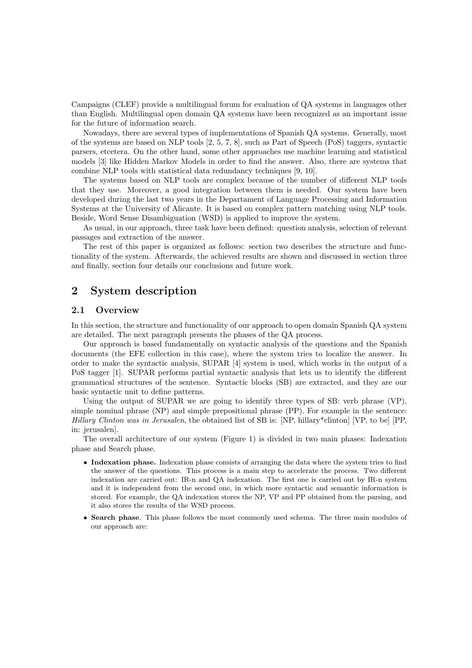Campaigns (CLEF) provide a multilingual forum for evaluation of QA systems in languages other than English. Multilingual open domain QA systems have been recognized as an important issue for the future of information search.

Nowadays, there are several types of implementations of Spanish QA systems. Generally, most of the systems are based on NLP tools [2, 5, 7, 8], such as Part of Speech (PoS) taggers, syntactic parsers, etcetera. On the other hand, some other approaches use machine learning and statistical models [3] like Hidden Markov Models in order to find the answer. Also, there are systems that combine NLP tools with statistical data redundancy techniques [9, 10].

The systems based on NLP tools are complex because of the number of different NLP tools that they use. Moreover, a good integration between them is needed. Our system have been developed during the last two years in the Departament of Language Processing and Information Systems at the University of Alicante. It is based on complex pattern matching using NLP tools. Beside, Word Sense Disambiguation (WSD) is applied to improve the system.

As usual, in our approach, three task have been defined: question analysis, selection of relevant passages and extraction of the answer.

The rest of this paper is organized as follows: section two describes the structure and functionality of the system. Afterwards, the achieved results are shown and discussed in section three and finally, section four details our conclusions and future work.

# 2 System description

#### 2.1 Overview

In this section, the structure and functionality of our approach to open domain Spanish QA system are detailed. The next paragraph presents the phases of the QA process.

Our approach is based fundamentally on syntactic analysis of the questions and the Spanish documents (the EFE collection in this case), where the system tries to localize the answer. In order to make the syntactic analysis, SUPAR [4] system is used, which works in the output of a PoS tagger [1]. SUPAR performs partial syntactic analysis that lets us to identify the different grammatical structures of the sentence. Syntactic blocks (SB) are extracted, and they are our basic syntactic unit to define patterns.

Using the output of SUPAR we are going to identify three types of SB: verb phrase (VP), simple nominal phrase (NP) and simple prepositional phrase (PP). For example in the sentence: Hillary Clinton was in Jerusalen, the obtained list of SB is: [NP, hillary\*clinton] [VP, to be] [PP, in: jerusalen].

The overall architecture of our system (Figure 1) is divided in two main phases: Indexation phase and Search phase.

- Indexation phase. Indexation phase consists of arranging the data where the system tries to find the answer of the questions. This process is a main step to accelerate the process. Two different indexation are carried out: IR-n and QA indexation. The first one is carried out by IR-n system and it is independent from the second one, in which more syntactic and semantic information is stored. For example, the QA indexation stores the NP, VP and PP obtained from the parsing, and it also stores the results of the WSD process.
- Search phase. This phase follows the most commonly used schema. The three main modules of our approach are: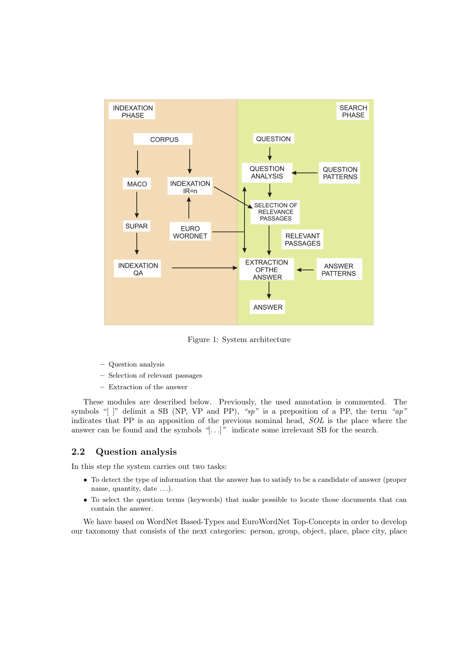

Figure 1: System architecture

- Question analysis
- Selection of relevant passages
- Extraction of the answer

These modules are described below. Previously, the used annotation is commented. The symbols "[ $\mid$ " delimit a SB (NP, VP and PP), "sp" is a preposition of a PP, the term "ap" indicates that PP is an apposition of the previous nominal head, SOL is the place where the answer can be found and the symbols "[...]" indicate some irrelevant SB for the search.

#### 2.2 Question analysis

In this step the system carries out two tasks:

- To detect the type of information that the answer has to satisfy to be a candidate of answer (proper name, quantity, date ...).
- To select the question terms (keywords) that make possible to locate those documents that can contain the answer.

We have based on WordNet Based-Types and EuroWordNet Top-Concepts in order to develop our taxonomy that consists of the next categories: person, group, object, place, place city, place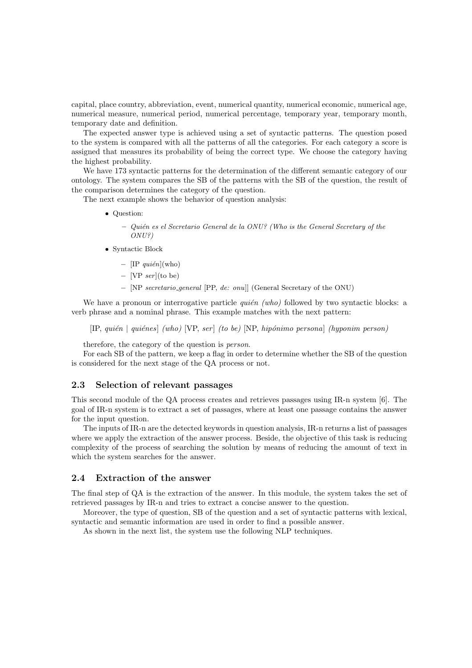capital, place country, abbreviation, event, numerical quantity, numerical economic, numerical age, numerical measure, numerical period, numerical percentage, temporary year, temporary month, temporary date and definition.

The expected answer type is achieved using a set of syntactic patterns. The question posed to the system is compared with all the patterns of all the categories. For each category a score is assigned that measures its probability of being the correct type. We choose the category having the highest probability.

We have 173 syntactic patterns for the determination of the different semantic category of our ontology. The system compares the SB of the patterns with the SB of the question, the result of the comparison determines the category of the question.

The next example shows the behavior of question analysis:

- Question:
	- $-$  Quién es el Secretario General de la ONU? (Who is the General Secretary of the ONU?)
- Syntactic Block
	- $-[IP$  quién](who)
	- $-$  [VP ser](to be)
	- − [NP secretario general [PP, de: onu]] (General Secretary of the ONU)

We have a pronoun or interrogative particle *quién* (who) followed by two syntactic blocks: a verb phrase and a nominal phrase. This example matches with the next pattern:

 $[IP, quién |$  quiénes $]$  (who)  $[VP, ser]$  (to be)  $[NP, hipónimo personal]$  (hyponim person)

therefore, the category of the question is person.

For each SB of the pattern, we keep a flag in order to determine whether the SB of the question is considered for the next stage of the QA process or not.

#### 2.3 Selection of relevant passages

This second module of the QA process creates and retrieves passages using IR-n system [6]. The goal of IR-n system is to extract a set of passages, where at least one passage contains the answer for the input question.

The inputs of IR-n are the detected keywords in question analysis, IR-n returns a list of passages where we apply the extraction of the answer process. Beside, the objective of this task is reducing complexity of the process of searching the solution by means of reducing the amount of text in which the system searches for the answer.

#### 2.4 Extraction of the answer

The final step of QA is the extraction of the answer. In this module, the system takes the set of retrieved passages by IR-n and tries to extract a concise answer to the question.

Moreover, the type of question, SB of the question and a set of syntactic patterns with lexical, syntactic and semantic information are used in order to find a possible answer.

As shown in the next list, the system use the following NLP techniques.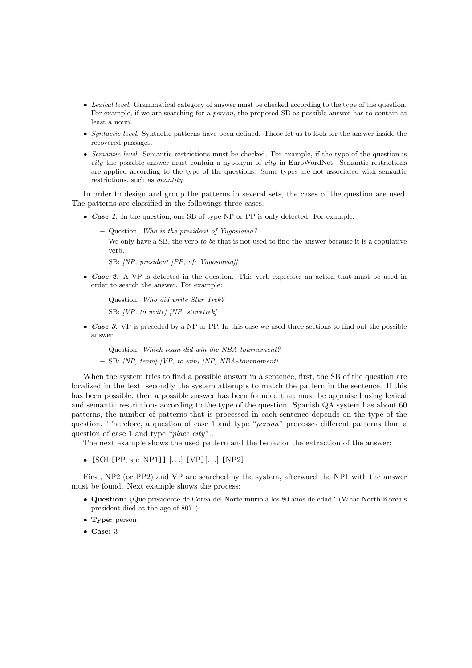- Lexical level. Grammatical category of answer must be checked according to the type of the question. For example, if we are searching for a person, the proposed SB as possible answer has to contain at least a noun.
- Syntactic level. Syntactic patterns have been defined. Those let us to look for the answer inside the recovered passages.
- Semantic level. Semantic restrictions must be checked. For example, if the type of the question is city the possible answer must contain a hyponym of city in EuroWordNet. Semantic restrictions are applied according to the type of the questions. Some types are not associated with semantic restrictions, such as quantity.

In order to design and group the patterns in several sets, the cases of the question are used. The patterns are classified in the followings three cases:

- Case 1. In the question, one SB of type NP or PP is only detected. For example:
	- Question: Who is the president of Yugoslavia? We only have a SB, the verb to be that is not used to find the answer because it is a copulative verb.
	- SB: [NP, president [PP, of: Yugoslavia]]
- Case 2. A VP is detected in the question. This verb expresses an action that must be used in order to search the answer. For example:
	- Question: Who did write Star Trek?
	- $-$  SB: [VP, to write] [NP, star $*$ trek]
- Case 3. VP is preceded by a NP or PP. In this case we used three sections to find out the possible answer.
	- Question: Which team did win the NBA tournament?
	- $-$  SB: [NP, team] [VP, to win] [NP, NBA $*$ tournament]

When the system tries to find a possible answer in a sentence, first, the SB of the question are localized in the text, secondly the system attempts to match the pattern in the sentence. If this has been possible, then a possible answer has been founded that must be appraised using lexical and semantic restrictions according to the type of the question. Spanish QA system has about 60 patterns, the number of patterns that is processed in each sentence depends on the type of the question. Therefore, a question of case 1 and type "person" processes different patterns than a question of case 1 and type " $place\_city$ ".

The next example shows the used pattern and the behavior the extraction of the answer:

•  $[SOL[PP, sp: NP1]]$   $[...]$   $[VP]$  $[...]$   $[NP2]$ 

First, NP2 (or PP2) and VP are searched by the system, afterward the NP1 with the answer must be found. Next example shows the process:

- Question: ¿Qué presidente de Corea del Norte murió a los 80 años de edad? (What North Korea's president died at the age of 80? )
- Type: person
- Case: 3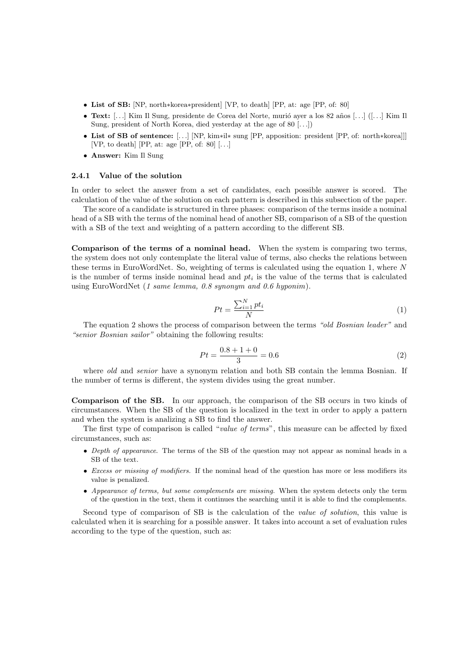- List of SB: [NP, north∗korea∗president] [VP, to death] [PP, at: age [PP, of: 80]
- Text: [...] Kim Il Sung, presidente de Corea del Norte, murió ayer a los 82 años  $[\ldots]$  ([...] Kim Il Sung, president of North Korea, died yesterday at the age of 80 [. . .])
- List of SB of sentence: [. . .] [NP, kim∗il∗ sung [PP, apposition: president [PP, of: north∗korea]]] [VP, to death] [PP, at: age [PP, of:  $80$ ] [...]
- Answer: Kim Il Sung

#### 2.4.1 Value of the solution

In order to select the answer from a set of candidates, each possible answer is scored. The calculation of the value of the solution on each pattern is described in this subsection of the paper.

The score of a candidate is structured in three phases: comparison of the terms inside a nominal head of a SB with the terms of the nominal head of another SB, comparison of a SB of the question with a SB of the text and weighting of a pattern according to the different SB.

Comparison of the terms of a nominal head. When the system is comparing two terms, the system does not only contemplate the literal value of terms, also checks the relations between these terms in EuroWordNet. So, weighting of terms is calculated using the equation 1, where N is the number of terms inside nominal head and  $pt_i$  is the value of the terms that is calculated using EuroWordNet (1 same lemma, 0.8 synonym and 0.6 hyponim).

$$
Pt = \frac{\sum_{i=1}^{N} pt_i}{N} \tag{1}
$$

The equation 2 shows the process of comparison between the terms "old Bosnian leader" and "senior Bosnian sailor" obtaining the following results:

$$
Pt = \frac{0.8 + 1 + 0}{3} = 0.6
$$
 (2)

where old and *senior* have a synonym relation and both SB contain the lemma Bosnian. If the number of terms is different, the system divides using the great number.

Comparison of the SB. In our approach, the comparison of the SB occurs in two kinds of circumstances. When the SB of the question is localized in the text in order to apply a pattern and when the system is analizing a SB to find the answer.

The first type of comparison is called "value of terms", this measure can be affected by fixed circumstances, such as:

- Depth of appearance. The terms of the SB of the question may not appear as nominal heads in a SB of the text.
- Excess or missing of modifiers. If the nominal head of the question has more or less modifiers its value is penalized.
- Appearance of terms, but some complements are missing. When the system detects only the term of the question in the text, them it continues the searching until it is able to find the complements.

Second type of comparison of SB is the calculation of the *value of solution*, this value is calculated when it is searching for a possible answer. It takes into account a set of evaluation rules according to the type of the question, such as: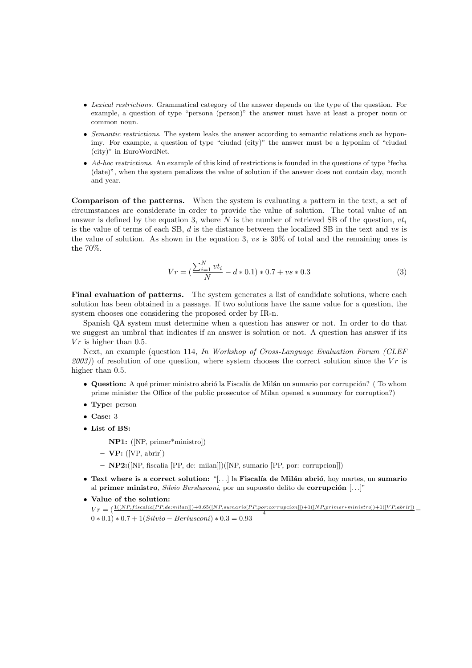- Lexical restrictions. Grammatical category of the answer depends on the type of the question. For example, a question of type "persona (person)" the answer must have at least a proper noun or common noun.
- Semantic restrictions. The system leaks the answer according to semantic relations such as hyponimy. For example, a question of type "ciudad (city)" the answer must be a hyponim of "ciudad (city)" in EuroWordNet.
- $\bullet$  Ad-hoc restrictions. An example of this kind of restrictions is founded in the questions of type "fecha (date)", when the system penalizes the value of solution if the answer does not contain day, month and year.

Comparison of the patterns. When the system is evaluating a pattern in the text, a set of circumstances are considerate in order to provide the value of solution. The total value of an answer is defined by the equation 3, where N is the number of retrieved SB of the question,  $vt_i$ is the value of terms of each SB,  $d$  is the distance between the localized SB in the text and vs is the value of solution. As shown in the equation 3,  $vs$  is 30% of total and the remaining ones is the 70%.

$$
Vr = \left(\frac{\sum_{i=1}^{N} vt_i}{N} - d * 0.1\right) * 0.7 + vs * 0.3\tag{3}
$$

Final evaluation of patterns. The system generates a list of candidate solutions, where each solution has been obtained in a passage. If two solutions have the same value for a question, the system chooses one considering the proposed order by IR-n.

Spanish QA system must determine when a question has answer or not. In order to do that we suggest an umbral that indicates if an answer is solution or not. A question has answer if its  $V r$  is higher than 0.5.

Next, an example (question 114, In Workshop of Cross-Language Evaluation Forum (CLEF)  $2003$ ) of resolution of one question, where system chooses the correct solution since the Vr is higher than  $0.5$ .

- Question: A qué primer ministro abrió la Fiscalía de Milán un sumario por corrupción? (To whom prime minister the Office of the public prosecutor of Milan opened a summary for corruption?)
- Type: person
- Case: 3
- List of BS:
	- NP1: ([NP, primer\*ministro])
	- $-$  VP: ([VP, abrir])
	- NP2:([NP, fiscalia [PP, de: milan]])([NP, sumario [PP, por: corrupcion]])
- Text where is a correct solution: "[...] la Fiscalía de Milán abrió, hoy martes, un sumario al primer ministro, Silvio Berslusconi, por un supuesto delito de corrupción  $[...]$ "
- Value of the solution:
- $Vr = (\frac{1([NP,fiscalia[PP,de:milan]]) + 0.65([NP,sumario[PP,por:corrupcion]]) + 1([NP,prime*ministro]) + 1([VP,abrir])}{4} (0 * 0.1) * 0.7 + 1(Silvio - Berlusconi) * 0.3 = 0.93$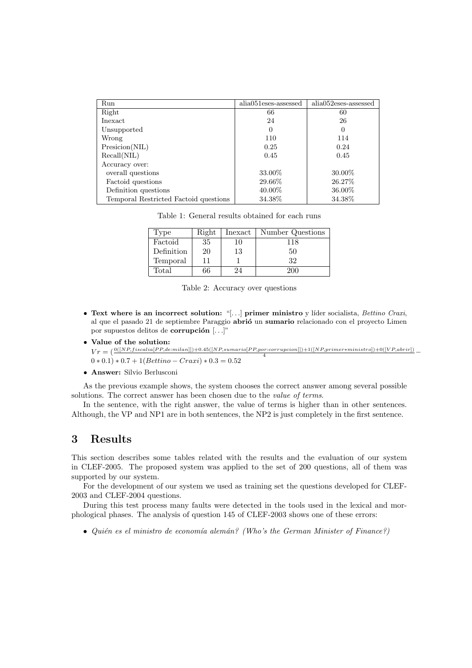| Run                                   | alia051eses-assessed | alia052eses-assessed |
|---------------------------------------|----------------------|----------------------|
| Right                                 | 66                   | 60                   |
| Inexact                               | 24                   | 26                   |
| Unsupported                           | $\theta$             |                      |
| Wrong                                 | 110                  | 114                  |
| Precision(NIL)                        | 0.25                 | 0.24                 |
| Recall(NIL)                           | 0.45                 | 0.45                 |
| Accuracy over:                        |                      |                      |
| overall questions                     | 33.00%               | 30.00%               |
| Factoid questions                     | 29.66%               | 26.27\%              |
| Definition questions                  | 40.00%               | 36.00%               |
| Temporal Restricted Factoid questions | 34.38\%              | 34.38\%              |

Table 1: General results obtained for each runs

| Type       | Right | Inexact | Number Questions |
|------------|-------|---------|------------------|
| Factoid    | 35    |         | 118              |
| Definition | 20    | 13      | 50               |
| Temporal   |       |         | 32               |
| Total      | 66    |         | 200              |

|  | Table 2: Accuracy over questions |  |
|--|----------------------------------|--|
|  |                                  |  |

- Text where is an incorrect solution: "[...] primer ministro y líder socialista, Bettino Craxi, al que el pasado 21 de septiembre Paraggio abrió un sumario relacionado con el proyecto Limen por supuestos delitos de corrupción [...]"
- Value of the solution:
	- $Vr = (0([NP,fiscalia[PP,de:milan]]) + 0.45([NP,sumario[PP,por:corrupcion]]) + 1([NP,prime*ministro]) + 0([VP,abrir]])$  $(0 * 0.1) * 0.7 + 1(Bettino - Craxi) * 0.3 = 0.52$
- Answer: Silvio Berlusconi

As the previous example shows, the system chooses the correct answer among several possible solutions. The correct answer has been chosen due to the value of terms.

In the sentence, with the right answer, the value of terms is higher than in other sentences. Although, the VP and NP1 are in both sentences, the NP2 is just completely in the first sentence.

# 3 Results

This section describes some tables related with the results and the evaluation of our system in CLEF-2005. The proposed system was applied to the set of 200 questions, all of them was supported by our system.

For the development of our system we used as training set the questions developed for CLEF-2003 and CLEF-2004 questions.

During this test process many faults were detected in the tools used in the lexical and morphological phases. The analysis of question 145 of CLEF-2003 shows one of these errors:

• Quién es el ministro de economía alemán? (Who's the German Minister of Finance?)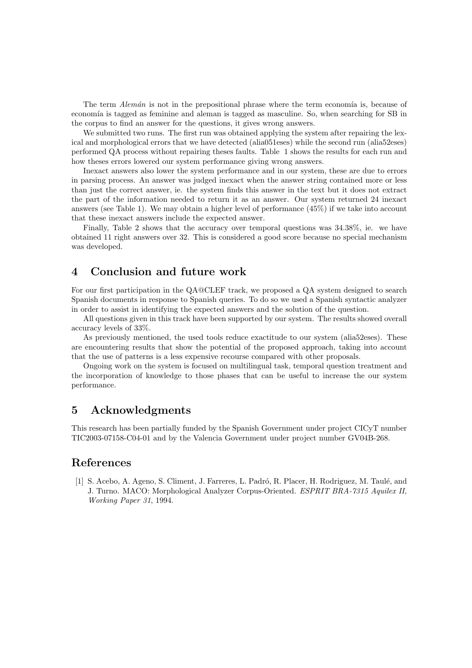The term *Alemán* is not in the prepositional phrase where the term economía is, because of economía is tagged as feminine and aleman is tagged as masculine. So, when searching for SB in the corpus to find an answer for the questions, it gives wrong answers.

We submitted two runs. The first run was obtained applying the system after repairing the lexical and morphological errors that we have detected (alia051eses) while the second run (alia52eses) performed QA process without repairing theses faults. Table 1 shows the results for each run and how theses errors lowered our system performance giving wrong answers.

Inexact answers also lower the system performance and in our system, these are due to errors in parsing process. An answer was judged inexact when the answer string contained more or less than just the correct answer, ie. the system finds this answer in the text but it does not extract the part of the information needed to return it as an answer. Our system returned 24 inexact answers (see Table 1). We may obtain a higher level of performance (45%) if we take into account that these inexact answers include the expected answer.

Finally, Table 2 shows that the accuracy over temporal questions was 34.38%, ie. we have obtained 11 right answers over 32. This is considered a good score because no special mechanism was developed.

# 4 Conclusion and future work

For our first participation in the QA@CLEF track, we proposed a QA system designed to search Spanish documents in response to Spanish queries. To do so we used a Spanish syntactic analyzer in order to assist in identifying the expected answers and the solution of the question.

All questions given in this track have been supported by our system. The results showed overall accuracy levels of 33%.

As previously mentioned, the used tools reduce exactitude to our system (alia52eses). These are encountering results that show the potential of the proposed approach, taking into account that the use of patterns is a less expensive recourse compared with other proposals.

Ongoing work on the system is focused on multilingual task, temporal question treatment and the incorporation of knowledge to those phases that can be useful to increase the our system performance.

### 5 Acknowledgments

This research has been partially funded by the Spanish Government under project CICyT number TIC2003-07158-C04-01 and by the Valencia Government under project number GV04B-268.

### References

[1] S. Acebo, A. Ageno, S. Climent, J. Farreres, L. Padró, R. Placer, H. Rodriguez, M. Taulé, and J. Turno. MACO: Morphological Analyzer Corpus-Oriented. ESPRIT BRA-7315 Aquilex II, Working Paper 31, 1994.